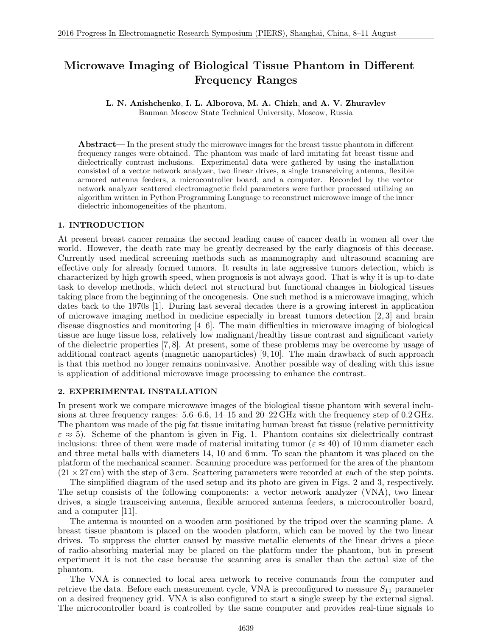# **Microwave Imaging of Biological Tissue Phantom in Different Frequency Ranges**

# **L. N. Anishchenko**, **I. L. Alborova**, **M. A. Chizh**, **and A. V. Zhuravlev**

Bauman Moscow State Technical University, Moscow, Russia

**Abstract**— In the present study the microwave images for the breast tissue phantom in different frequency ranges were obtained. The phantom was made of lard imitating fat breast tissue and dielectrically contrast inclusions. Experimental data were gathered by using the installation consisted of a vector network analyzer, two linear drives, a single transceiving antenna, flexible armored antenna feeders, a microcontroller board, and a computer. Recorded by the vector network analyzer scattered electromagnetic field parameters were further processed utilizing an algorithm written in Python Programming Language to reconstruct microwave image of the inner dielectric inhomogeneities of the phantom.

#### **1. INTRODUCTION**

At present breast cancer remains the second leading cause of cancer death in women all over the world. However, the death rate may be greatly decreased by the early diagnosis of this decease. Currently used medical screening methods such as mammography and ultrasound scanning are effective only for already formed tumors. It results in late aggressive tumors detection, which is characterized by high growth speed, when prognosis is not always good. That is why it is up-to-date task to develop methods, which detect not structural but functional changes in biological tissues taking place from the beginning of the oncogenesis. One such method is a microwave imaging, which dates back to the 1970s [1]. During last several decades there is a growing interest in application of microwave imaging method in medicine especially in breast tumors detection [2, 3] and brain disease diagnostics and monitoring  $[4-6]$ . The main difficulties in microwave imaging of biological tissue are huge tissue loss, relatively low malignant/healthy tissue contrast and significant variety of the dielectric properties [7, 8]. At present, some of these problems may be overcome by usage of additional contract agents (magnetic nanoparticles) [9, 10]. The main drawback of such approach is that this method no longer remains noninvasive. Another possible way of dealing with this issue is application of additional microwave image processing to enhance the contrast.

#### **2. EXPERIMENTAL INSTALLATION**

In present work we compare microwave images of the biological tissue phantom with several inclusions at three frequency ranges: 5.6–6.6, 14–15 and 20–22 GHz with the frequency step of 0.2 GHz. The phantom was made of the pig fat tissue imitating human breast fat tissue (relative permittivity  $\varepsilon \approx 5$ ). Scheme of the phantom is given in Fig. 1. Phantom contains six dielectrically contrast inclusions: three of them were made of material imitating tumor ( $\varepsilon \approx 40$ ) of 10 mm diameter each and three metal balls with diameters 14, 10 and 6 mm. To scan the phantom it was placed on the platform of the mechanical scanner. Scanning procedure was performed for the area of the phantom  $(21 \times 27 \text{ cm})$  with the step of 3 cm. Scattering parameters were recorded at each of the step points.

The simplified diagram of the used setup and its photo are given in Figs. 2 and 3, respectively. The setup consists of the following components: a vector network analyzer (VNA), two linear drives, a single transceiving antenna, flexible armored antenna feeders, a microcontroller board, and a computer [11].

The antenna is mounted on a wooden arm positioned by the tripod over the scanning plane. A breast tissue phantom is placed on the wooden platform, which can be moved by the two linear drives. To suppress the clutter caused by massive metallic elements of the linear drives a piece of radio-absorbing material may be placed on the platform under the phantom, but in present experiment it is not the case because the scanning area is smaller than the actual size of the phantom.

The VNA is connected to local area network to receive commands from the computer and retrieve the data. Before each measurement cycle, VNA is preconfigured to measure *S*<sup>11</sup> parameter on a desired frequency grid. VNA is also configured to start a single sweep by the external signal. The microcontroller board is controlled by the same computer and provides real-time signals to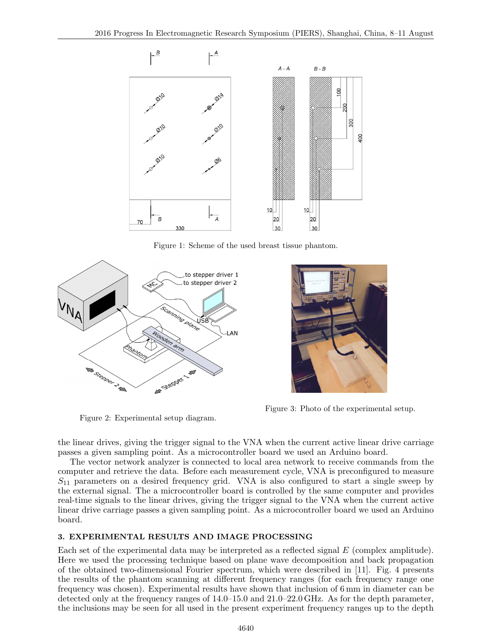

Figure 1: Scheme of the used breast tissue phantom.



Figure 3: Photo of the experimental setup.

the linear drives, giving the trigger signal to the VNA when the current active linear drive carriage passes a given sampling point. As a microcontroller board we used an Arduino board.

The vector network analyzer is connected to local area network to receive commands from the computer and retrieve the data. Before each measurement cycle, VNA is preconfigured to measure  $S_{11}$  parameters on a desired frequency grid. VNA is also configured to start a single sweep by the external signal. The a microcontroller board is controlled by the same computer and provides real-time signals to the linear drives, giving the trigger signal to the VNA when the current active linear drive carriage passes a given sampling point. As a microcontroller board we used an Arduino board.

# **3. EXPERIMENTAL RESULTS AND IMAGE PROCESSING**

Figure 2: Experimental setup diagram.

Each set of the experimental data may be interpreted as a reflected signal E (complex amplitude). Here we used the processing technique based on plane wave decomposition and back propagation of the obtained two-dimensional Fourier spectrum, which were described in [11]. Fig. 4 presents the results of the phantom scanning at different frequency ranges (for each frequency range one frequency was chosen). Experimental results have shown that inclusion of 6 mm in diameter can be detected only at the frequency ranges of 14.0–15.0 and 21.0–22.0 GHz. As for the depth parameter, the inclusions may be seen for all used in the present experiment frequency ranges up to the depth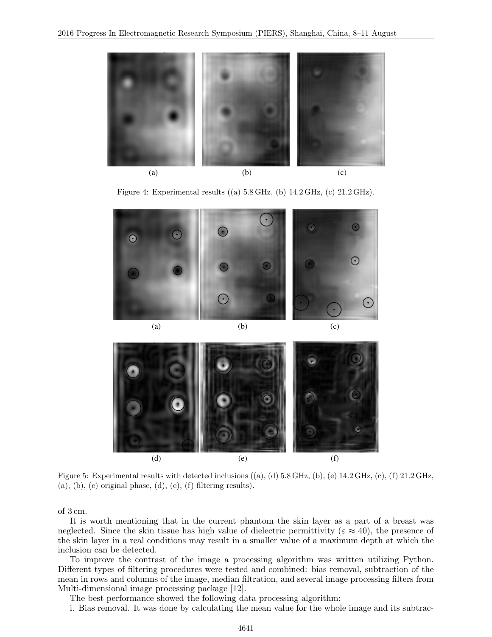

Figure 4: Experimental results ((a) 5.8 GHz, (b) 14.2 GHz, (c) 21.2 GHz).



Figure 5: Experimental results with detected inclusions  $((a), (d)$  5.8 GHz,  $(b), (e)$  14.2 GHz,  $(c), (f)$  21.2 GHz,  $(a)$ ,  $(b)$ ,  $(c)$  original phase,  $(d)$ ,  $(e)$ ,  $(f)$  filtering results).

of 3 cm.

It is worth mentioning that in the current phantom the skin layer as a part of a breast was neglected. Since the skin tissue has high value of dielectric permittivity ( $\varepsilon \approx 40$ ), the presence of the skin layer in a real conditions may result in a smaller value of a maximum depth at which the inclusion can be detected.

To improve the contrast of the image a processing algorithm was written utilizing Python. Different types of filtering procedures were tested and combined: bias removal, subtraction of the mean in rows and columns of the image, median filtration, and several image processing filters from Multi-dimensional image processing package [12].

The best performance showed the following data processing algorithm:

i. Bias removal. It was done by calculating the mean value for the whole image and its subtrac-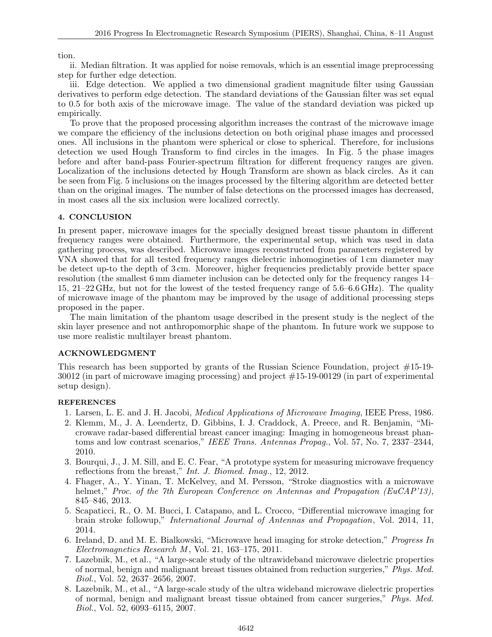# tion.

ii. Median filtration. It was applied for noise removals, which is an essential image preprocessing step for further edge detection.

iii. Edge detection. We applied a two dimensional gradient magnitude filter using Gaussian derivatives to perform edge detection. The standard deviations of the Gaussian filter was set equal to 0.5 for both axis of the microwave image. The value of the standard deviation was picked up empirically.

To prove that the proposed processing algorithm increases the contrast of the microwave image we compare the efficiency of the inclusions detection on both original phase images and processed ones. All inclusions in the phantom were spherical or close to spherical. Therefore, for inclusions detection we used Hough Transform to find circles in the images. In Fig. 5 the phase images before and after band-pass Fourier-spectrum filtration for different frequency ranges are given. Localization of the inclusions detected by Hough Transform are shown as black circles. As it can be seen from Fig. 5 inclusions on the images processed by the filtering algorithm are detected better than on the original images. The number of false detections on the processed images has decreased, in most cases all the six inclusion were localized correctly.

## **4. CONCLUSION**

In present paper, microwave images for the specially designed breast tissue phantom in different frequency ranges were obtained. Furthermore, the experimental setup, which was used in data gathering process, was described. Microwave images reconstructed from parameters registered by VNA showed that for all tested frequency ranges dielectric inhomogineties of 1 cm diameter may be detect up-to the depth of 3 cm. Moreover, higher frequencies predictably provide better space resolution (the smallest 6 mm diameter inclusion can be detected only for the frequency ranges 14– 15, 21–22 GHz, but not for the lowest of the tested frequency range of 5.6–6.6 GHz). The quality of microwave image of the phantom may be improved by the usage of additional processing steps proposed in the paper.

The main limitation of the phantom usage described in the present study is the neglect of the skin layer presence and not anthropomorphic shape of the phantom. In future work we suppose to use more realistic multilayer breast phantom.

## **ACKNOWLEDGMENT**

This research has been supported by grants of the Russian Science Foundation, project #15-19- 30012 (in part of microwave imaging processing) and project #15-19-00129 (in part of experimental setup design).

## **REFERENCES**

- 1. Larsen, L. E. and J. H. Jacobi, *Medical Applications of Microwave Imaging*, IEEE Press, 1986.
- 2. Klemm, M., J. A. Leendertz, D. Gibbins, I. J. Craddock, A. Preece, and R. Benjamin, "Microwave radar-based differential breast cancer imaging: Imaging in homogeneous breast phantoms and low contrast scenarios," *IEEE Trans. Antennas Propag.*, Vol. 57, No. 7, 2337–2344, 2010.
- 3. Bourqui, J., J. M. Sill, and E. C. Fear, "A prototype system for measuring microwave frequency reflections from the breast," *Int. J. Biomed. Imag.*, 12, 2012.
- 4. Fhager, A., Y. Yinan, T. McKelvey, and M. Persson, "Stroke diagnostics with a microwave helmet," *Proc. of the 7th European Conference on Antennas and Propagation (EuCAP'13)*, 845–846, 2013.
- 5. Scapaticci, R., O. M. Bucci, I. Catapano, and L. Crocco, "Differential microwave imaging for brain stroke followup," *International Journal of Antennas and Propagation*, Vol. 2014, 11, 2014.
- 6. Ireland, D. and M. E. Bialkowski, "Microwave head imaging for stroke detection," *Progress In Electromagnetics Research M* , Vol. 21, 163–175, 2011.
- 7. Lazebnik, M., et al., "A large-scale study of the ultrawideband microwave dielectric properties of normal, benign and malignant breast tissues obtained from reduction surgeries," *Phys. Med. Biol.*, Vol. 52, 2637–2656, 2007.
- 8. Lazebnik, M., et al., "A large-scale study of the ultra wideband microwave dielectric properties of normal, benign and malignant breast tissue obtained from cancer surgeries," *Phys. Med. Biol.*, Vol. 52, 6093–6115, 2007.